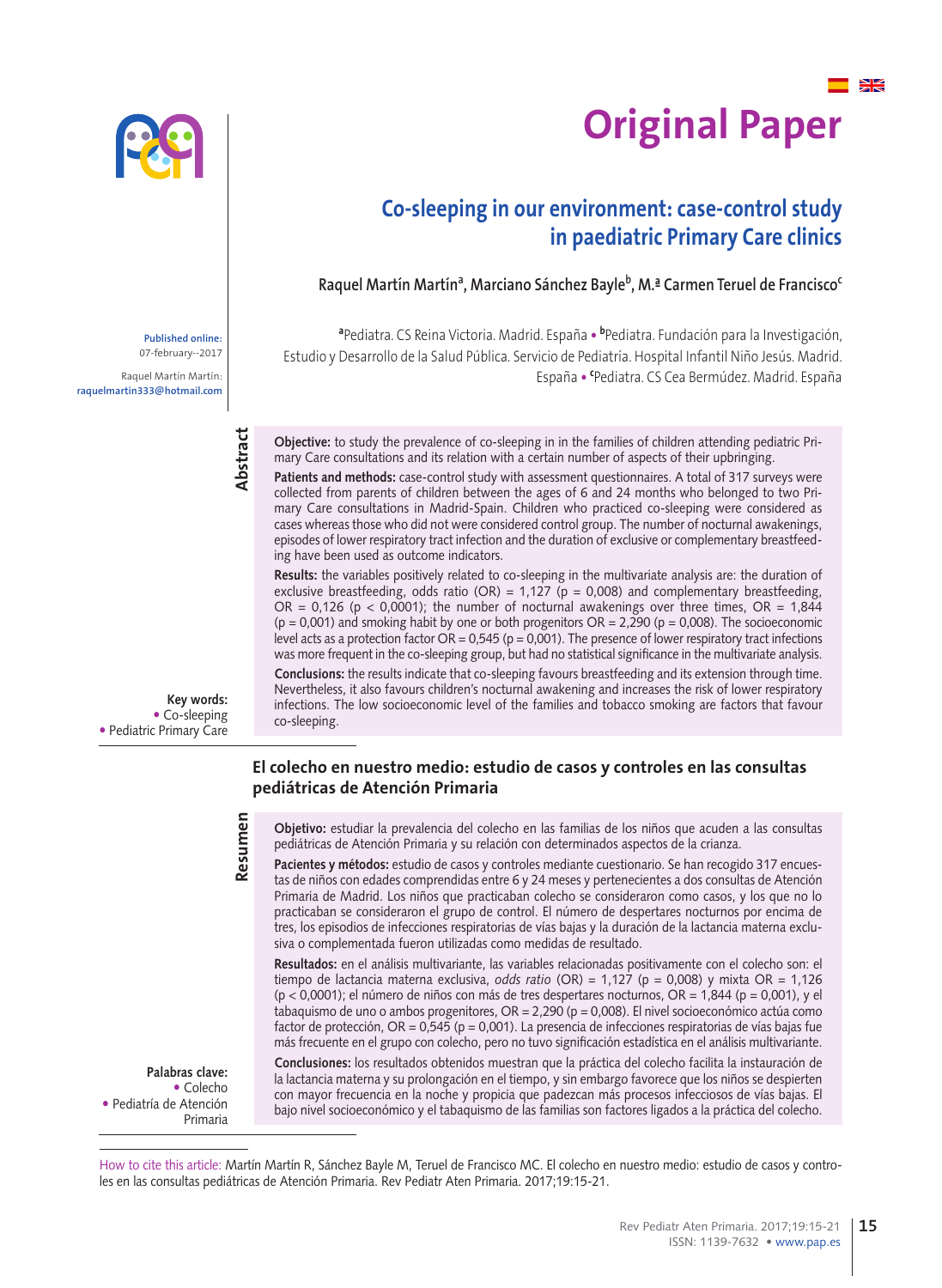

# ¥ **Original Paper**

# **Co-sleeping in our environment: case-control study in paediatric Primary Care clinics**

Raquel Martín Martín<sup>a</sup>, Marciano Sánchez Bayle<sup>b</sup>, M.ª Carmen Teruel de Francisco<sup>c</sup>

**a** Pediatra. CS Reina Victoria. Madrid. España • **<sup>b</sup>** Pediatra. Fundación para la Investigación, Estudio y Desarrollo de la Salud Pública. Servicio de Pediatría. Hospital Infantil Niño Jesús. Madrid. España • **<sup>c</sup>** Pediatra. CS Cea Bermúdez. Madrid. España

**Objective:** to study the prevalence of co-sleeping in in the families of children attending pediatric Primary Care consultations and its relation with a certain number of aspects of their upbringing.

Patients and methods: case-control study with assessment questionnaires. A total of 317 surveys were collected from parents of children between the ages of 6 and 24 months who belonged to two Primary Care consultations in Madrid-Spain. Children who practiced co-sleeping were considered as cases whereas those who did not were considered control group. The number of nocturnal awakenings, episodes of lower respiratory tract infection and the duration of exclusive or complementary breastfeeding have been used as outcome indicators.

**Results:** the variables positively related to co-sleeping in the multivariate analysis are: the duration of exclusive breastfeeding, odds ratio (OR) = 1,127 ( $p = 0.008$ ) and complementary breastfeeding, OR = 0,126 (p < 0,0001); the number of nocturnal awakenings over three times, OR = 1,844  $(p = 0.001)$  and smoking habit by one or both progenitors  $OR = 2,290$  ( $p = 0.008$ ). The socioeconomic level acts as a protection factor  $OR = 0.545$  ( $p = 0.001$ ). The presence of lower respiratory tract infections was more frequent in the co-sleeping group, but had no statistical significance in the multivariate analysis.

**Conclusions:** the results indicate that co-sleeping favours breastfeeding and its extension through time. Nevertheless, it also favours children's nocturnal awakening and increases the risk of lower respiratory infections. The low socioeconomic level of the families and tobacco smoking are factors that favour co-sleeping.

### **El colecho en nuestro medio: estudio de casos y controles en las consultas pediátricas de Atención Primaria**

**Objetivo:** estudiar la prevalencia del colecho en las familias de los niños que acuden a las consultas pediátricas de Atención Primaria y su relación con determinados aspectos de la crianza.

Pacientes y métodos: estudio de casos y controles mediante cuestionario. Se han recogido 317 encuestas de niños con edades comprendidas entre 6 y 24 meses y pertenecientes a dos consultas de Atención Primaria de Madrid. Los niños que practicaban colecho se consideraron como casos, y los que no lo practicaban se consideraron el grupo de control. El número de despertares nocturnos por encima de tres, los episodios de infecciones respiratorias de vías bajas y la duración de la lactancia materna exclusiva o complementada fueron utilizadas como medidas de resultado.

**Resultados:** en el análisis multivariante, las variables relacionadas positivamente con el colecho son: el tiempo de lactancia materna exclusiva, *odds ratio* (OR) = 1,127 (p = 0,008) y mixta OR = 1,126  $(p < 0.0001)$ ; el número de niños con más de tres despertares nocturnos,  $OR = 1,844$  ( $p = 0.001$ ), y el tabaquismo de uno o ambos progenitores, OR = 2,290 (p = 0,008). El nivel socioeconómico actúa como factor de protección, OR = 0,545 (p = 0,001). La presencia de infecciones respiratorias de vías bajas fue más frecuente en el grupo con colecho, pero no tuvo significación estadística en el análisis multivariante.

**Conclusiones:** los resultados obtenidos muestran que la práctica del colecho facilita la instauración de la lactancia materna y su prolongación en el tiempo, y sin embargo favorece que los niños se despierten con mayor frecuencia en la noche y propicia que padezcan más procesos infecciosos de vías bajas. El bajo nivel socioeconómico y el tabaquismo de las familias son factores ligados a la práctica del colecho.

**Palabras clave:** Colecho Pediatría de Atención Primaria

How to cite this article: Martín Martín R, Sánchez Bayle M, Teruel de Francisco MC. El colecho en nuestro medio: estudio de casos y controles en las consultas pediátricas de Atención Primaria. Rev Pediatr Aten Primaria. 2017;19:15-21.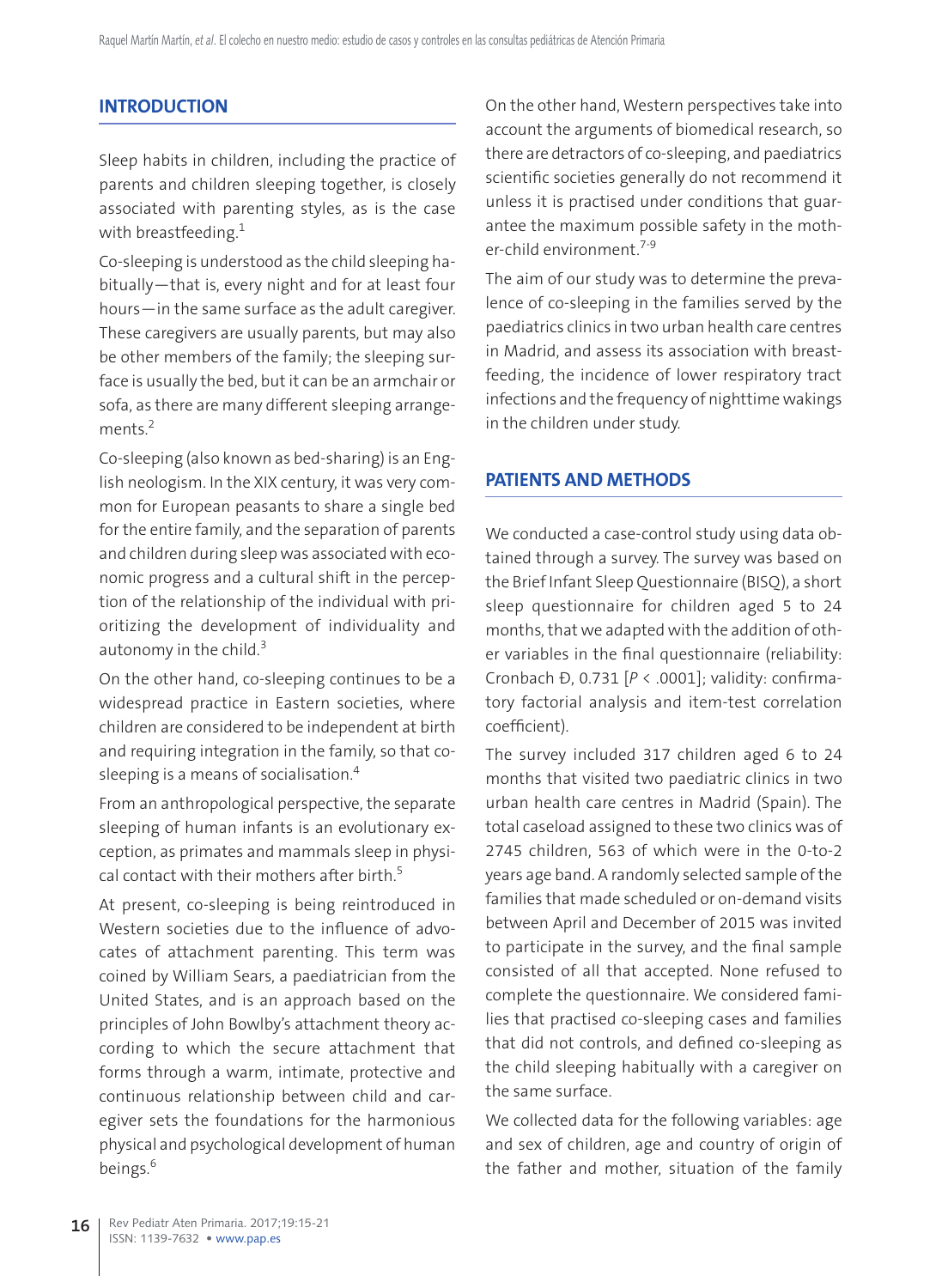#### **INTRODUCTION**

Sleep habits in children, including the practice of parents and children sleeping together, is closely associated with parenting styles, as is the case with breastfeeding.<sup>1</sup>

Co-sleeping is understood as the child sleeping habitually—that is, every night and for at least four hours—in the same surface as the adult caregiver. These caregivers are usually parents, but may also be other members of the family; the sleeping surface is usually the bed, but it can be an armchair or sofa, as there are many different sleeping arrangements.<sup>2</sup>

Co-sleeping (also known as bed-sharing) is an English neologism. In the XIX century, it was very common for European peasants to share a single bed for the entire family, and the separation of parents and children during sleep was associated with economic progress and a cultural shift in the perception of the relationship of the individual with prioritizing the development of individuality and autonomy in the child.<sup>3</sup>

On the other hand, co-sleeping continues to be a widespread practice in Eastern societies, where children are considered to be independent at birth and requiring integration in the family, so that cosleeping is a means of socialisation.4

From an anthropological perspective, the separate sleeping of human infants is an evolutionary exception, as primates and mammals sleep in physical contact with their mothers after birth.<sup>5</sup>

At present, co-sleeping is being reintroduced in Western societies due to the influence of advocates of attachment parenting. This term was coined by William Sears, a paediatrician from the United States, and is an approach based on the principles of John Bowlby's attachment theory according to which the secure attachment that forms through a warm, intimate, protective and continuous relationship between child and caregiver sets the foundations for the harmonious physical and psychological development of human beings.<sup>6</sup>

On the other hand, Western perspectives take into account the arguments of biomedical research, so there are detractors of co-sleeping, and paediatrics scientific societies generally do not recommend it unless it is practised under conditions that guarantee the maximum possible safety in the mother-child environment.<sup>7-9</sup>

The aim of our study was to determine the prevalence of co-sleeping in the families served by the paediatrics clinics in two urban health care centres in Madrid, and assess its association with breastfeeding, the incidence of lower respiratory tract infections and the frequency of nighttime wakings in the children under study.

### **PATIENTS AND METHODS**

We conducted a case-control study using data obtained through a survey. The survey was based on the Brief Infant Sleep Questionnaire (BISQ), a short sleep questionnaire for children aged 5 to 24 months, that we adapted with the addition of other variables in the final questionnaire (reliability: Cronbach α, 0.731 [*P* < .0001]; validity: confirmatory factorial analysis and item-test correlation coefficient).

The survey included 317 children aged 6 to 24 months that visited two paediatric clinics in two urban health care centres in Madrid (Spain). The total caseload assigned to these two clinics was of 2745 children, 563 of which were in the 0-to-2 years age band. A randomly selected sample of the families that made scheduled or on-demand visits between April and December of 2015 was invited to participate in the survey, and the final sample consisted of all that accepted. None refused to complete the questionnaire. We considered families that practised co-sleeping cases and families that did not controls, and defined co-sleeping as the child sleeping habitually with a caregiver on the same surface.

We collected data for the following variables: age and sex of children, age and country of origin of the father and mother, situation of the family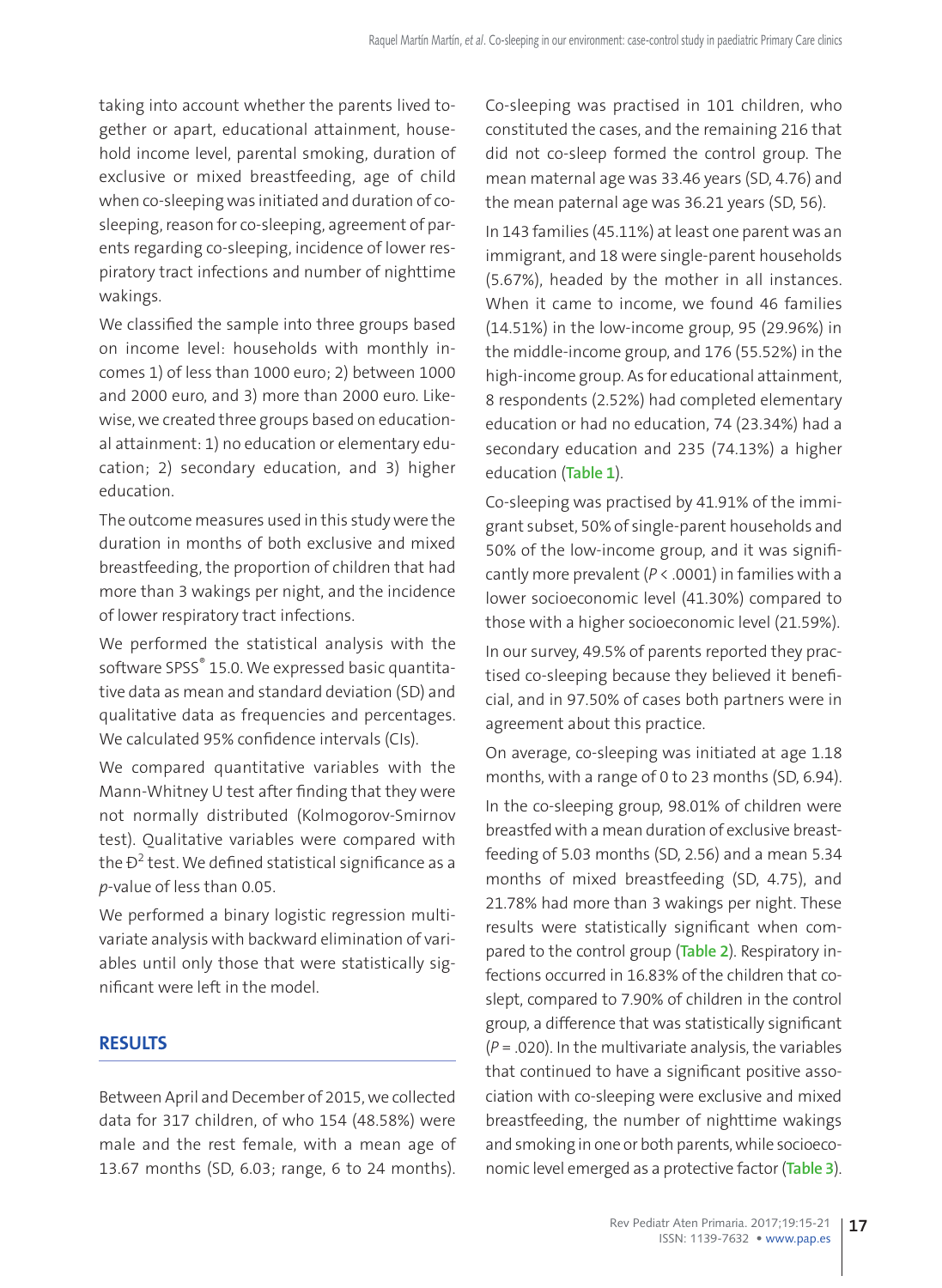taking into account whether the parents lived together or apart, educational attainment, household income level, parental smoking, duration of exclusive or mixed breastfeeding, age of child when co-sleeping was initiated and duration of cosleeping, reason for co-sleeping, agreement of parents regarding co-sleeping, incidence of lower respiratory tract infections and number of nighttime wakings.

We classified the sample into three groups based on income level: households with monthly incomes 1) of less than 1000 euro; 2) between 1000 and 2000 euro, and 3) more than 2000 euro. Likewise, we created three groups based on educational attainment: 1) no education or elementary education; 2) secondary education, and 3) higher education.

The outcome measures used in this study were the duration in months of both exclusive and mixed breastfeeding, the proportion of children that had more than 3 wakings per night, and the incidence of lower respiratory tract infections.

We performed the statistical analysis with the software SPSS® 15.0. We expressed basic quantitative data as mean and standard deviation (SD) and qualitative data as frequencies and percentages. We calculated 95% confidence intervals (CIs).

We compared quantitative variables with the Mann-Whitney U test after finding that they were not normally distributed (Kolmogorov-Smirnov test). Qualitative variables were compared with the  $\mathsf{D}^2$  test. We defined statistical significance as a *p*-value of less than 0.05.

We performed a binary logistic regression multivariate analysis with backward elimination of variables until only those that were statistically significant were left in the model.

## **RESULTS**

Between April and December of 2015, we collected data for 317 children, of who 154 (48.58%) were male and the rest female, with a mean age of 13.67 months (SD, 6.03; range, 6 to 24 months). Co-sleeping was practised in 101 children, who constituted the cases, and the remaining 216 that did not co-sleep formed the control group. The mean maternal age was 33.46 years (SD, 4.76) and the mean paternal age was 36.21 years (SD, 56).

In 143 families (45.11%) at least one parent was an immigrant, and 18 were single-parent households (5.67%), headed by the mother in all instances. When it came to income, we found 46 families (14.51%) in the low-income group, 95 (29.96%) in the middle-income group, and 176 (55.52%) in the high-income group. As for educational attainment, 8 respondents (2.52%) had completed elementary education or had no education, 74 (23.34%) had a secondary education and 235 (74.13%) a higher education (**Table 1**).

Co-sleeping was practised by 41.91% of the immigrant subset, 50% of single-parent households and 50% of the low-income group, and it was significantly more prevalent (*P* < .0001) in families with a lower socioeconomic level (41.30%) compared to those with a higher socioeconomic level (21.59%).

In our survey, 49.5% of parents reported they practised co-sleeping because they believed it beneficial, and in 97.50% of cases both partners were in agreement about this practice.

On average, co-sleeping was initiated at age 1.18 months, with a range of 0 to 23 months (SD, 6.94).

In the co-sleeping group, 98.01% of children were breastfed with a mean duration of exclusive breastfeeding of 5.03 months (SD, 2.56) and a mean 5.34 months of mixed breastfeeding (SD, 4.75), and 21.78% had more than 3 wakings per night. These results were statistically significant when compared to the control group (**Table 2**). Respiratory infections occurred in 16.83% of the children that coslept, compared to 7.90% of children in the control group, a difference that was statistically significant (*P* = .020). In the multivariate analysis, the variables that continued to have a significant positive association with co-sleeping were exclusive and mixed breastfeeding, the number of nighttime wakings and smoking in one or both parents, while socioeconomic level emerged as a protective factor (**Table 3**).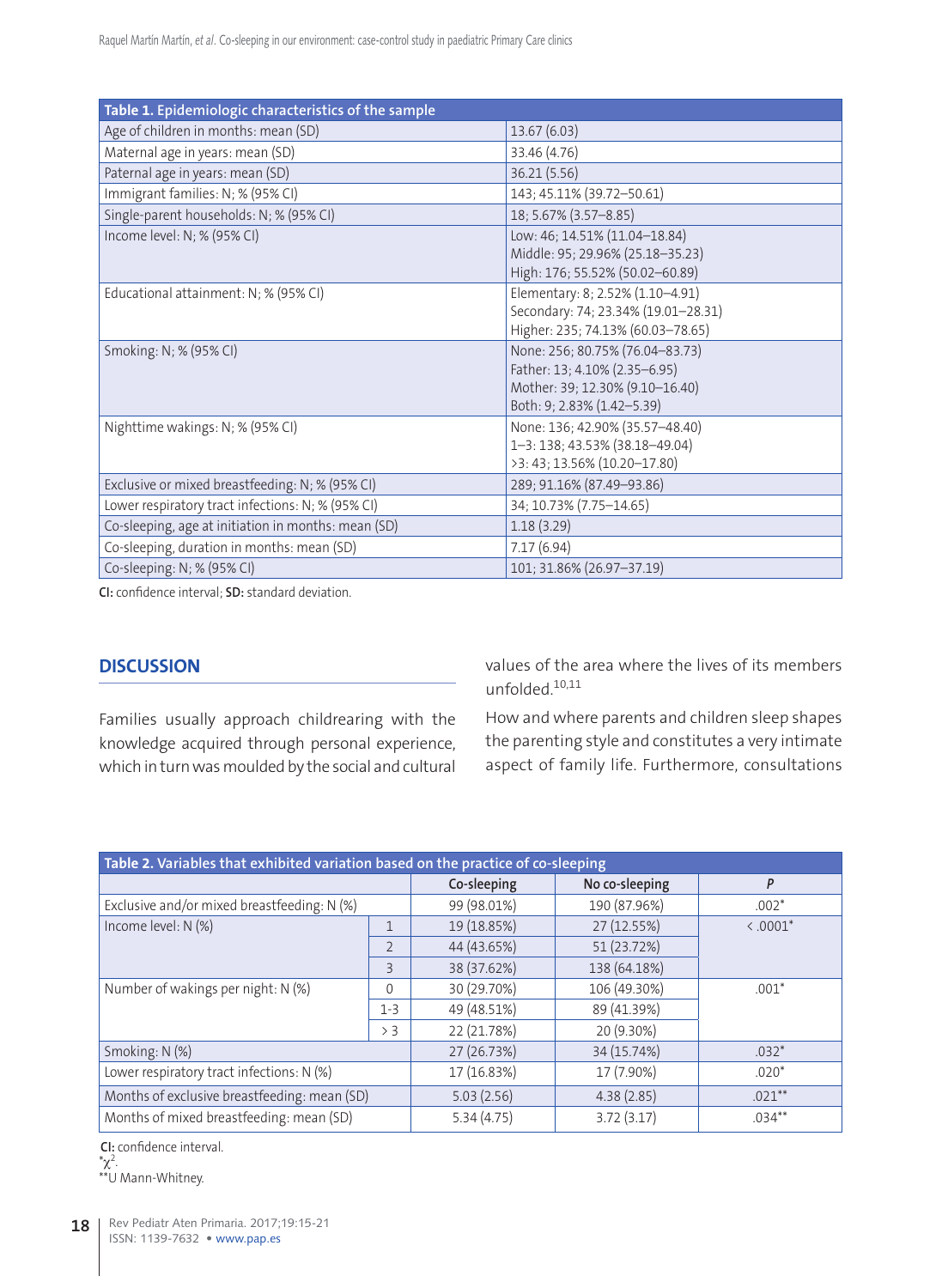| Table 1. Epidemiologic characteristics of the sample |                                                                                                                                   |  |  |  |
|------------------------------------------------------|-----------------------------------------------------------------------------------------------------------------------------------|--|--|--|
| Age of children in months: mean (SD)                 | 13.67 (6.03)                                                                                                                      |  |  |  |
| Maternal age in years: mean (SD)                     | 33.46 (4.76)                                                                                                                      |  |  |  |
| Paternal age in years: mean (SD)                     | 36.21 (5.56)                                                                                                                      |  |  |  |
| Immigrant families: N; % (95% CI)                    | 143; 45.11% (39.72-50.61)                                                                                                         |  |  |  |
| Single-parent households: N; % (95% CI)              | 18; 5.67% (3.57-8.85)                                                                                                             |  |  |  |
| Income level: N; % (95% CI)                          | Low: 46; 14.51% (11.04-18.84)<br>Middle: 95; 29.96% (25.18-35.23)<br>High: 176; 55.52% (50.02-60.89)                              |  |  |  |
| Educational attainment: N; % (95% CI)                | Elementary: 8; 2.52% (1.10-4.91)<br>Secondary: 74; 23.34% (19.01-28.31)<br>Higher: 235; 74.13% (60.03-78.65)                      |  |  |  |
| Smoking: N; % (95% CI)                               | None: 256; 80.75% (76.04-83.73)<br>Father: 13; 4.10% (2.35-6.95)<br>Mother: 39; 12.30% (9.10-16.40)<br>Both: 9; 2.83% (1.42-5.39) |  |  |  |
| Nighttime wakings: N; % (95% CI)                     | None: 136; 42.90% (35.57-48.40)<br>1-3: 138; 43.53% (38.18-49.04)<br>>3: 43; 13.56% (10.20-17.80)                                 |  |  |  |
| Exclusive or mixed breastfeeding: N; % (95% CI)      | 289; 91.16% (87.49-93.86)                                                                                                         |  |  |  |
| Lower respiratory tract infections: N; % (95% CI)    | 34; 10.73% (7.75-14.65)                                                                                                           |  |  |  |
| Co-sleeping, age at initiation in months: mean (SD)  | 1.18(3.29)                                                                                                                        |  |  |  |
| Co-sleeping, duration in months: mean (SD)           | 7.17(6.94)                                                                                                                        |  |  |  |
| Co-sleeping: N; % (95% CI)                           | 101; 31.86% (26.97-37.19)                                                                                                         |  |  |  |

**CI:** confidence interval; **SD:** standard deviation.

### **DISCUSSION**

Families usually approach childrearing with the knowledge acquired through personal experience, which in turn was moulded by the social and cultural values of the area where the lives of its members unfolded.10,11

How and where parents and children sleep shapes the parenting style and constitutes a very intimate aspect of family life. Furthermore, consultations

| Table 2. Variables that exhibited variation based on the practice of co-sleeping |                          |             |                |            |  |  |
|----------------------------------------------------------------------------------|--------------------------|-------------|----------------|------------|--|--|
|                                                                                  |                          | Co-sleeping | No co-sleeping | P          |  |  |
| Exclusive and/or mixed breastfeeding: N (%)                                      |                          | 99 (98.01%) | 190 (87.96%)   | $.002*$    |  |  |
| Income level: N (%)                                                              | $\mathbf{1}$             | 19 (18.85%) | 27 (12.55%)    | $< .0001*$ |  |  |
|                                                                                  | $\overline{2}$           | 44 (43.65%) | 51 (23.72%)    |            |  |  |
|                                                                                  | $\overline{\mathcal{E}}$ | 38 (37.62%) | 138 (64.18%)   |            |  |  |
| Number of wakings per night: N (%)                                               | $\Omega$                 | 30 (29.70%) | 106 (49.30%)   | $.001*$    |  |  |
|                                                                                  | $1 - 3$                  | 49 (48.51%) | 89 (41.39%)    |            |  |  |
|                                                                                  | > 3                      | 22 (21.78%) | 20 (9.30%)     |            |  |  |
| Smoking: N (%)                                                                   |                          | 27 (26.73%) | 34 (15.74%)    | $.032*$    |  |  |
| Lower respiratory tract infections: N (%)                                        |                          | 17 (16.83%) | 17 (7.90%)     | $.020*$    |  |  |
| Months of exclusive breastfeeding: mean (SD)                                     |                          | 5.03(2.56)  | 4.38(2.85)     | $021**$    |  |  |
| Months of mixed breastfeeding: mean (SD)                                         |                          | 5.34(4.75)  | 3.72(3.17)     | $.034***$  |  |  |

**CI:** confidence interval.

 $^*\chi^2$ . \*\*U Mann-Whitney.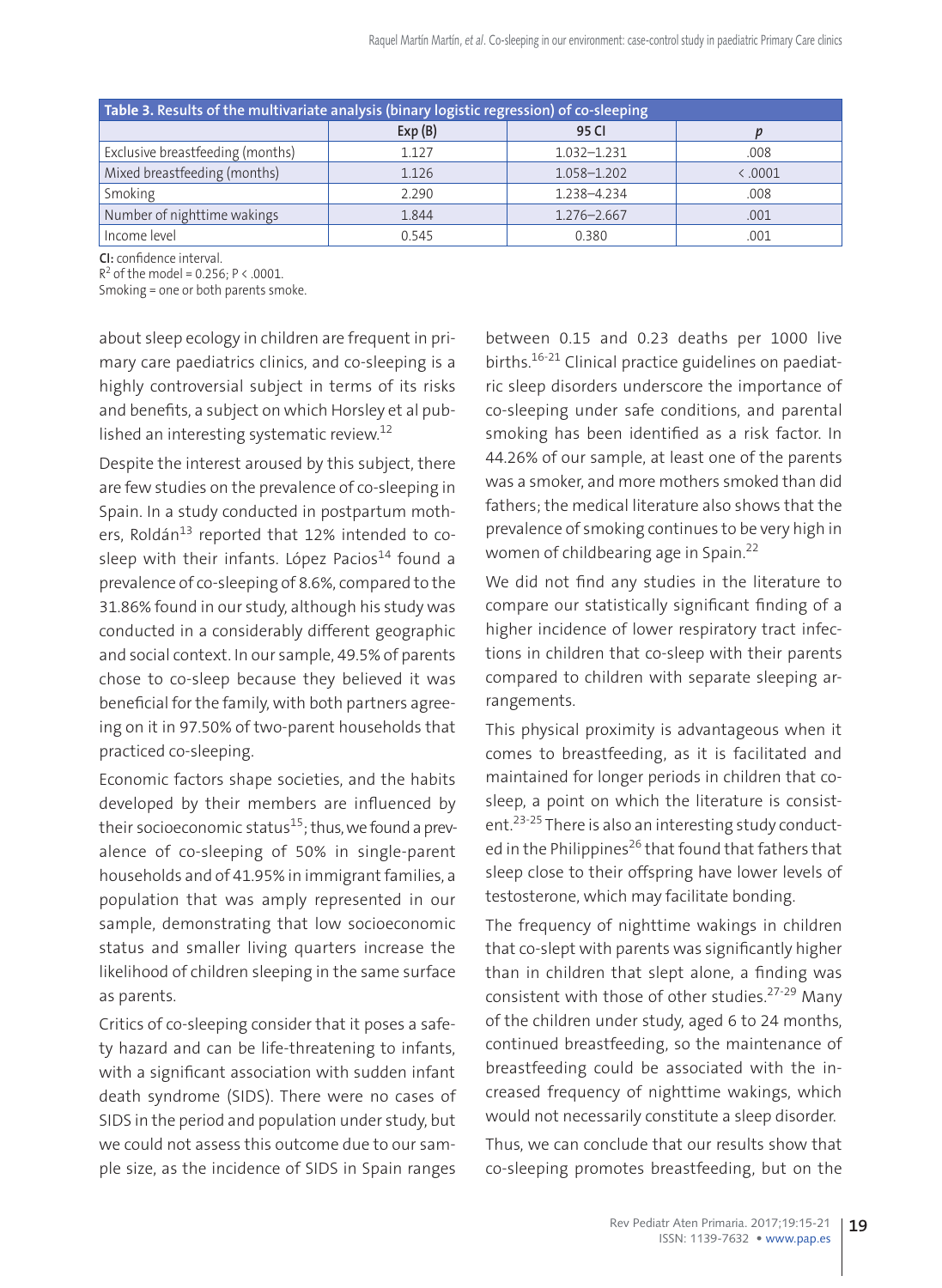| Table 3. Results of the multivariate analysis (binary logistic regression) of co-sleeping |        |                 |        |  |  |
|-------------------------------------------------------------------------------------------|--------|-----------------|--------|--|--|
|                                                                                           | Exp(B) | 95 CI           |        |  |  |
| Exclusive breastfeeding (months)                                                          | 1.127  | $1.032 - 1.231$ | .008   |  |  |
| Mixed breastfeeding (months)                                                              | 1.126  | 1.058-1.202     | & 0001 |  |  |
| Smoking                                                                                   | 2.290  | 1.238-4.234     | .008   |  |  |
| Number of nighttime wakings                                                               | 1.844  | 1.276-2.667     | .001   |  |  |
| Income level                                                                              | 0.545  | 0.380           | .001   |  |  |

**CI:** confidence interval.

 $R^2$  of the model = 0.256; P < .0001.

Smoking = one or both parents smoke.

about sleep ecology in children are frequent in primary care paediatrics clinics, and co-sleeping is a highly controversial subject in terms of its risks and benefits, a subject on which Horsley et al published an interesting systematic review.<sup>12</sup>

Despite the interest aroused by this subject, there are few studies on the prevalence of co-sleeping in Spain. In a study conducted in postpartum mothers, Roldán<sup>13</sup> reported that 12% intended to cosleep with their infants. López Pacios $14$  found a prevalence of co-sleeping of 8.6%, compared to the 31.86% found in our study, although his study was conducted in a considerably different geographic and social context. In our sample, 49.5% of parents chose to co-sleep because they believed it was beneficial for the family, with both partners agreeing on it in 97.50% of two-parent households that practiced co-sleeping.

Economic factors shape societies, and the habits developed by their members are influenced by their socioeconomic status<sup>15</sup>; thus, we found a prevalence of co-sleeping of 50% in single-parent households and of 41.95% in immigrant families, a population that was amply represented in our sample, demonstrating that low socioeconomic status and smaller living quarters increase the likelihood of children sleeping in the same surface as parents.

Critics of co-sleeping consider that it poses a safety hazard and can be life-threatening to infants, with a significant association with sudden infant death syndrome (SIDS). There were no cases of SIDS in the period and population under study, but we could not assess this outcome due to our sample size, as the incidence of SIDS in Spain ranges

between 0.15 and 0.23 deaths per 1000 live births.<sup>16-21</sup> Clinical practice guidelines on paediatric sleep disorders underscore the importance of co-sleeping under safe conditions, and parental smoking has been identified as a risk factor. In 44.26% of our sample, at least one of the parents was a smoker, and more mothers smoked than did fathers; the medical literature also shows that the prevalence of smoking continues to be very high in women of childbearing age in Spain.<sup>22</sup>

We did not find any studies in the literature to compare our statistically significant finding of a higher incidence of lower respiratory tract infections in children that co-sleep with their parents compared to children with separate sleeping arrangements.

This physical proximity is advantageous when it comes to breastfeeding, as it is facilitated and maintained for longer periods in children that cosleep, a point on which the literature is consistent.<sup>23-25</sup> There is also an interesting study conducted in the Philippines<sup>26</sup> that found that fathers that sleep close to their offspring have lower levels of testosterone, which may facilitate bonding.

The frequency of nighttime wakings in children that co-slept with parents was significantly higher than in children that slept alone, a finding was consistent with those of other studies.27-29 Many of the children under study, aged 6 to 24 months, continued breastfeeding, so the maintenance of breastfeeding could be associated with the increased frequency of nighttime wakings, which would not necessarily constitute a sleep disorder.

Thus, we can conclude that our results show that co-sleeping promotes breastfeeding, but on the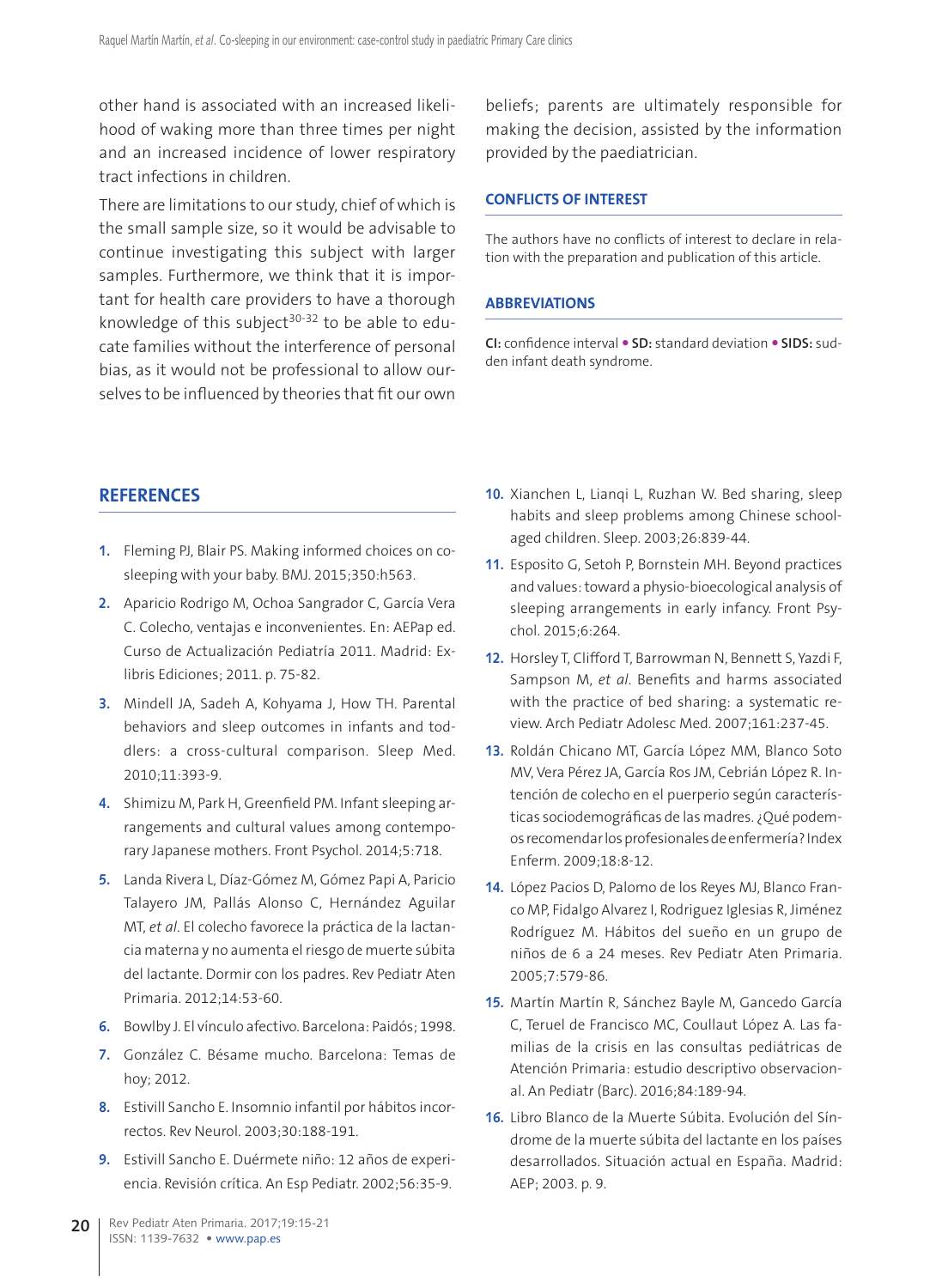other hand is associated with an increased likelihood of waking more than three times per night and an increased incidence of lower respiratory tract infections in children.

There are limitations to our study, chief of which is the small sample size, so it would be advisable to continue investigating this subject with larger samples. Furthermore, we think that it is important for health care providers to have a thorough knowledge of this subject<sup>30-32</sup> to be able to educate families without the interference of personal bias, as it would not be professional to allow ourselves to be influenced by theories that fit our own

beliefs; parents are ultimately responsible for making the decision, assisted by the information provided by the paediatrician.

#### **CONFLICTS OF INTEREST**

The authors have no conflicts of interest to declare in relation with the preparation and publication of this article.

#### **ABBREVIATIONS**

**CI:** confidence interval **SD:** standard deviation **SIDS:** sudden infant death syndrome.

### **REFERENCES**

- **1.** Fleming PJ, Blair PS. Making informed choices on cosleeping with your baby. BMJ. 2015;350:h563.
- **2.** Aparicio Rodrigo M, Ochoa Sangrador C, García Vera C. Colecho, ventajas e inconvenientes. En: AEPap ed. Curso de Actualización Pediatría 2011. Madrid: Exlibris Ediciones; 2011. p. 75-82.
- **3.** Mindell JA, Sadeh A, Kohyama J, How TH. Parental behaviors and sleep outcomes in infants and toddlers: a cross-cultural comparison. Sleep Med. 2010;11:393-9.
- **4.** Shimizu M, Park H, Greenfield PM. Infant sleeping arrangements and cultural values among contemporary Japanese mothers. Front Psychol. 2014;5:718.
- **5.** Landa Rivera L, Díaz-Gómez M, Gómez Papi A, Paricio Talayero JM, Pallás Alonso C, Hernández Aguilar MT, *et al*. El colecho favorece la práctica de la lactancia materna y no aumenta el riesgo de muerte súbita del lactante. Dormir con los padres. Rev Pediatr Aten Primaria. 2012;14:53-60.
- **6.** Bowlby J. El vínculo afectivo. Barcelona: Paidós; 1998.
- **7.** González C. Bésame mucho. Barcelona: Temas de hoy; 2012.
- **8.** Estivill Sancho E. Insomnio infantil por hábitos incorrectos. Rev Neurol. 2003;30:188-191.
- **9.** Estivill Sancho E. Duérmete niño: 12 años de experiencia. Revisión crítica. An Esp Pediatr. 2002;56:35-9.
- **10.** Xianchen L, Lianqi L, Ruzhan W. Bed sharing, sleep habits and sleep problems among Chinese schoolaged children. Sleep. 2003;26:839-44.
- **11.** Esposito G, Setoh P, Bornstein MH. Beyond practices and values: toward a physio-bioecological analysis of sleeping arrangements in early infancy. Front Psychol. 2015;6:264.
- **12.** Horsley T, Clifford T, Barrowman N, Bennett S, Yazdi F, Sampson M, *et al*. Benefits and harms associated with the practice of bed sharing: a systematic review. Arch Pediatr Adolesc Med. 2007;161:237-45.
- **13.** Roldán Chicano MT, García López MM, Blanco Soto MV, Vera Pérez JA, García Ros JM, Cebrián López R. Intención de colecho en el puerperio según características sociodemográficas de las madres. ¿Qué podemos recomendar los profesionales de enfermería? Index Enferm. 2009;18:8-12.
- **14.** López Pacios D, Palomo de los Reyes MJ, Blanco Franco MP, Fidalgo Alvarez I, Rodriguez Iglesias R, Jiménez Rodríguez M. Hábitos del sueño en un grupo de niños de 6 a 24 meses. Rev Pediatr Aten Primaria. 2005;7:579-86.
- **15.** Martín Martín R, Sánchez Bayle M, Gancedo García C, Teruel de Francisco MC, Coullaut López A. Las familias de la crisis en las consultas pediátricas de Atención Primaria: estudio descriptivo observacional. An Pediatr (Barc). 2016;84:189-94.
- **16.** Libro Blanco de la Muerte Súbita. Evolución del Síndrome de la muerte súbita del lactante en los países desarrollados. Situación actual en España. Madrid: AEP; 2003. p. 9.